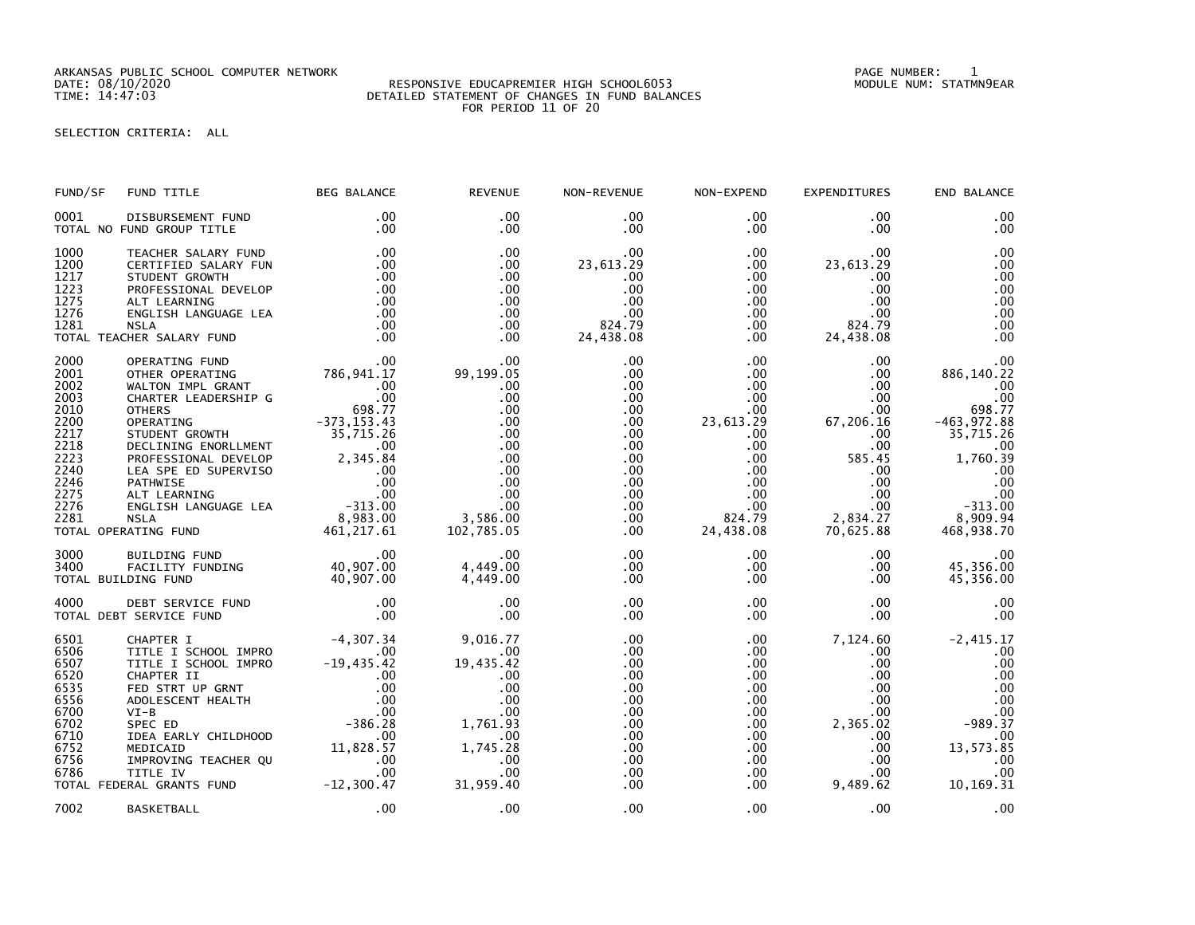ARKANSAS PUBLIC SCHOOL COMPUTER NETWORK PAGE NUMBER: 1

## RESPONSIVE EDUCAPREMIER HIGH SCHOOL6053 TIME: 14:47:03 DETAILED STATEMENT OF CHANGES IN FUND BALANCES FOR PERIOD 11 OF 20

SELECTION CRITERIA: ALL

| FUND/SF                                                                                                      | FUND TITLE                                                                                                                                                                                                                                                                                                                                                                          | <b>BEG BALANCE</b>                                               | <b>REVENUE</b>                                                                                                          | NON-REVENUE                                                                                                                                           | NON-EXPEND                                                                                                                                                                  | <b>EXPENDITURES</b>                                                                                                                                     | END BALANCE                                                                                                                                     |
|--------------------------------------------------------------------------------------------------------------|-------------------------------------------------------------------------------------------------------------------------------------------------------------------------------------------------------------------------------------------------------------------------------------------------------------------------------------------------------------------------------------|------------------------------------------------------------------|-------------------------------------------------------------------------------------------------------------------------|-------------------------------------------------------------------------------------------------------------------------------------------------------|-----------------------------------------------------------------------------------------------------------------------------------------------------------------------------|---------------------------------------------------------------------------------------------------------------------------------------------------------|-------------------------------------------------------------------------------------------------------------------------------------------------|
| 0001                                                                                                         | DISBURSEMENT FUND<br>TOTAL NO FUND GROUP TITLE                                                                                                                                                                                                                                                                                                                                      | $.00 \,$<br>$.00 \,$                                             | .00<br>.00                                                                                                              | $.00 \,$<br>$.00 \cdot$                                                                                                                               | $.00 \,$<br>.00                                                                                                                                                             | $.00 \,$<br>.00                                                                                                                                         | .00<br>.00                                                                                                                                      |
| 1000<br>1200<br>1217<br>1223<br>1275<br>1276<br>1281                                                         | TEACHER SALARY FUND<br>CERTIFIED SALARY FUN<br>STUDENT GROWTH<br>PROFESSIONAL DEVELOP<br>ALT LEARNING<br>ENGLISH LANGUAGE LEA<br><b>NSLA</b><br>TOTAL TEACHER SALARY FUND                                                                                                                                                                                                           | .00<br>.00<br>.00<br>.00<br>.00<br>.00<br>.00<br>$\overline{00}$ | $.00 \times$<br>.00<br>.00<br>.00<br>.00<br>.00<br>.00<br>.00                                                           | .00<br>23,613.29<br>.00<br>.00<br>.00<br>.00<br>824.79<br>24,438.08                                                                                   | $.00 \,$<br>$.00 \,$<br>$.00 \,$<br>$.00 \,$<br>$.00 \,$<br>$.00 \,$<br>.00<br>$.00 \,$                                                                                     | .00<br>23,613.29<br>.00<br>.00<br>.00<br>.00.<br>824.79<br>24,438.08                                                                                    | .00<br>.00<br>.00<br>.00<br>.00<br>.00<br>.00<br>.00                                                                                            |
| 2000<br>2001<br>2002<br>2003<br>2010<br>2200<br>2217<br>2218<br>2223<br>2240<br>2246<br>2275<br>2276<br>2281 | CHER SALARY FUND<br>OPERATING FUND<br>OTHER OPERATING 786,941.17<br>WALTON IMPL GRANT .00<br>CHARTER LEADERSHIP G .00<br>CHARTER 698.77<br>OPERATING 698.77<br>OPERATING 698.77<br>OPERATING 698.77<br>DECLINING ENORELMENT 35,715.26<br>DECLINING<br>TOTAL OPERATING FUND                                                                                                          |                                                                  | .00<br>99,199.05<br>.00<br>.00<br>.00<br>.00<br>.00<br>.00<br>.00<br>.00<br>.00<br>.00<br>.00<br>3,586.00<br>102,785.05 | .00<br>.00<br>.00<br>.00<br>$.00 \,$<br>.00 <sub>1</sub><br>.00<br>.00<br>$.00 \,$<br>$.00 \,$<br>$.00 \,$<br>.00<br>$.00 \,$<br>$.00 \,$<br>$.00 \,$ | .00<br>$.00 \,$<br>$.00 \cdot$<br>$.00 \,$<br>$.00 \,$<br>23,613.29<br>$.00 \,$<br>.00<br>$.00 \,$<br>$.00 \,$<br>$.00 \ \,$<br>$.00 \,$<br>$.00 \,$<br>824.79<br>24,438.08 | $.00 \,$<br>.00<br>$.00 \,$<br>$.00 \,$<br>.00<br>67,206.16<br>.00<br>.00<br>585.45<br>$.00 \,$<br>$.00 \,$<br>.00<br>$.00 \,$<br>2,834.27<br>70,625.88 | .00<br>886,140.22<br>.00<br>698.77<br>$-463,972.88$<br>35,715.26<br>.00<br>1,760.39<br>.00<br>.00<br>.00<br>$-313.00$<br>8,909.94<br>468,938.70 |
| 3000<br>3400                                                                                                 | 00.<br>FACILITY FUNDING 40,907.00<br>DING FUND 40,907.00.<br>TOTAL BUILDING FUND                                                                                                                                                                                                                                                                                                    |                                                                  | .00<br>4,449.00<br>4,449.00                                                                                             | $.00 \,$<br>$.00 \,$<br>.00                                                                                                                           | $.00 \,$<br>$.00 \,$<br>$.00 \,$                                                                                                                                            | $.00 \,$<br>$.00 \,$<br>$.00 \,$                                                                                                                        | .00<br>45,356.00<br>45,356.00                                                                                                                   |
| 4000                                                                                                         | DEBT SERVICE FUND<br>TOTAL DEBT SERVICE FUND                                                                                                                                                                                                                                                                                                                                        | $\frac{0}{00}$                                                   | .00<br>.00                                                                                                              | .00<br>.00.                                                                                                                                           | $.00 \,$<br>$.00 \,$                                                                                                                                                        | .00<br>$.00 \,$                                                                                                                                         | .00<br>.00                                                                                                                                      |
| 6501<br>6506<br>6507<br>6520<br>6535<br>6556<br>6700<br>6702<br>6710                                         | -4,307.34<br>TITLE I SCHOOL IMPRO<br>TITLE I SCHOOL IMPRO<br>CHAPTER II .00<br>CHAPTER II .00<br>CHAPTER II .00<br>FED STRT UP GRNT .00<br>ADOLESCENT HEALTH .00<br>VI-B .00<br>SPEC ED .00<br>DEA EARLY CHILDHOOD .00<br>.00<br>DEA EARLY CHILDHOOD<br>6752 MEDICATE CHELOROOF 11,828.57<br>6756 IMPROVING TEACHER QU<br>6786 TITLE IV .00<br>TOTAL FEDERAL GRANTS FUND -12,300.47 |                                                                  | 9,016.77<br>.00<br>19,435.42<br>.00<br>.00<br>.00<br>.00<br>1,761.93<br>.00<br>1,745.28<br>.00<br>.00<br>31,959.40      | .00<br>.00<br>.00<br>.00<br>.00<br>.00<br>.00<br>.00<br>.00<br>.00<br>.00<br>.00<br>.00                                                               | $.00 \,$<br>$.00 \,$<br>$.00 \,$<br>$.00 \,$<br>$.00 \,$<br>$.00 \,$<br>$.00 \,$<br>$.00 \,$<br>.00<br>$.00 \,$<br>$.00\,$<br>$.00 \,$<br>$.00 \,$                          | 7,124.60<br>.00<br>$.00 \,$<br>$.00 \,$<br>$.00 \,$<br>$.00 \,$<br>$.00 \,$<br>2,365.02<br>.00<br>.00<br>.00<br>.00<br>9,489.62                         | $-2,415.17$<br>.00<br>.00<br>.00<br>.00<br>.00<br>.00<br>$-989.37$<br>.00<br>13,573.85<br>.00<br>.00<br>10,169.31                               |
| 7002                                                                                                         | BASKETBALL                                                                                                                                                                                                                                                                                                                                                                          | .00                                                              | .00                                                                                                                     | .00                                                                                                                                                   | .00                                                                                                                                                                         | .00                                                                                                                                                     | .00                                                                                                                                             |